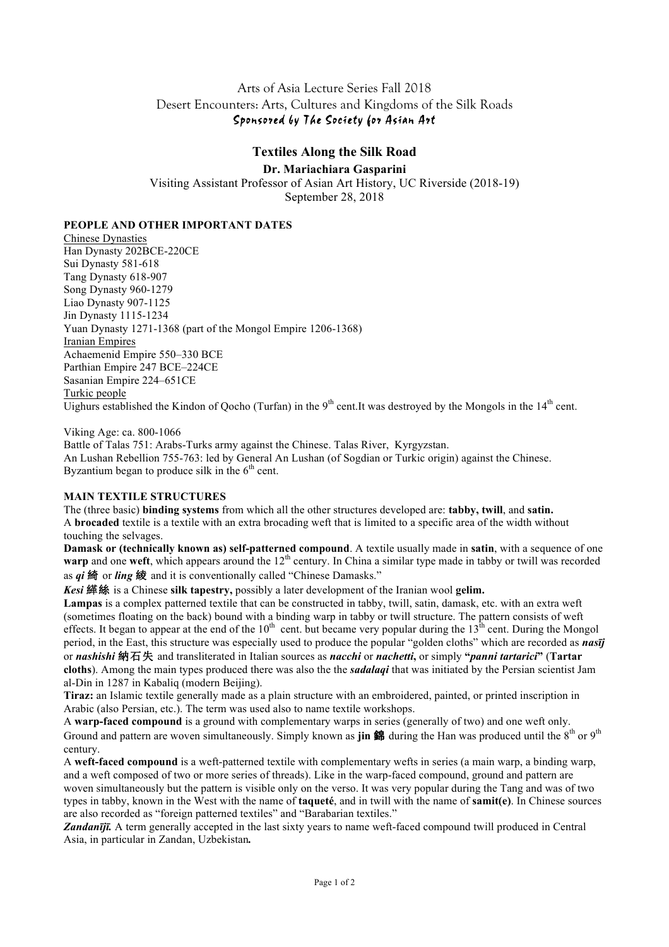## Arts of Asia Lecture Series Fall 2018 Desert Encounters: Arts, Cultures and Kingdoms of the Silk Roads Sponsored by The Society for Asian Art

# **Textiles Along the Silk Road**

## **Dr. Mariachiara Gasparini**

Visiting Assistant Professor of Asian Art History, UC Riverside (2018-19) September 28, 2018

**PEOPLE AND OTHER IMPORTANT DATES**

Chinese Dynasties Han Dynasty 202BCE-220CE Sui Dynasty 581-618 Tang Dynasty 618-907 Song Dynasty 960-1279 Liao Dynasty 907-1125 Jin Dynasty 1115-1234 Yuan Dynasty 1271-1368 (part of the Mongol Empire 1206-1368) Iranian Empires Achaemenid Empire 550–330 BCE Parthian Empire 247 BCE–224CE Sasanian Empire 224–651CE Turkic people Uighurs established the Kindon of Qocho (Turfan) in the 9<sup>th</sup> cent.It was destroyed by the Mongols in the  $14<sup>th</sup>$  cent.

#### Viking Age: ca. 800-1066

Battle of Talas 751: Arabs-Turks army against the Chinese. Talas River, Kyrgyzstan. An Lushan Rebellion 755-763: led by General An Lushan (of Sogdian or Turkic origin) against the Chinese. Byzantium began to produce silk in the  $6<sup>th</sup>$  cent.

## **MAIN TEXTILE STRUCTURES**

The (three basic) **binding systems** from which all the other structures developed are: **tabby, twill**, and **satin.** A **brocaded** textile is a textile with an extra brocading weft that is limited to a specific area of the width without touching the selvages.

**Damask or (technically known as) self-patterned compound**. A textile usually made in **satin**, with a sequence of one **warp** and one **weft**, which appears around the 12<sup>th</sup> century. In China a similar type made in tabby or twill was recorded as *qi* 綺 or *ling* 綾 and it is conventionally called "Chinese Damasks."

*Kesi* 緙絲 is a Chinese **silk tapestry,** possibly a later development of the Iranian wool **gelim.**

**Lampas** is a complex patterned textile that can be constructed in tabby, twill, satin, damask, etc. with an extra weft (sometimes floating on the back) bound with a binding warp in tabby or twill structure. The pattern consists of weft effects. It began to appear at the end of the  $10^{th}$  cent. but became very popular during the  $13^{th}$  cent. During the Mongol period, in the East, this structure was especially used to produce the popular "golden cloths" which are recorded as *nasīj* or *nashishi* 納石失 and transliterated in Italian sources as *nacchi* or *nachetti***,** or simply **"***panni tartarici***"** (**Tartar cloths**). Among the main types produced there was also the the *sadalaqi* that was initiated by the Persian scientist Jam al-Din in 1287 in Kabaliq (modern Beijing).

**Tiraz:** an Islamic textile generally made as a plain structure with an embroidered, painted, or printed inscription in Arabic (also Persian, etc.). The term was used also to name textile workshops.

A **warp-faced compound** is a ground with complementary warps in series (generally of two) and one weft only. Ground and pattern are woven simultaneously. Simply known as **jin 錦** during the Han was produced until the 8<sup>th</sup> or 9<sup>th</sup> century.

A **weft-faced compound** is a weft-patterned textile with complementary wefts in series (a main warp, a binding warp, and a weft composed of two or more series of threads). Like in the warp-faced compound, ground and pattern are woven simultaneously but the pattern is visible only on the verso. It was very popular during the Tang and was of two types in tabby, known in the West with the name of **taqueté**, and in twill with the name of **samit(e)**. In Chinese sources are also recorded as "foreign patterned textiles" and "Barabarian textiles."

*Zandanījī.* A term generally accepted in the last sixty years to name weft-faced compound twill produced in Central Asia, in particular in Zandan, Uzbekistan*.*